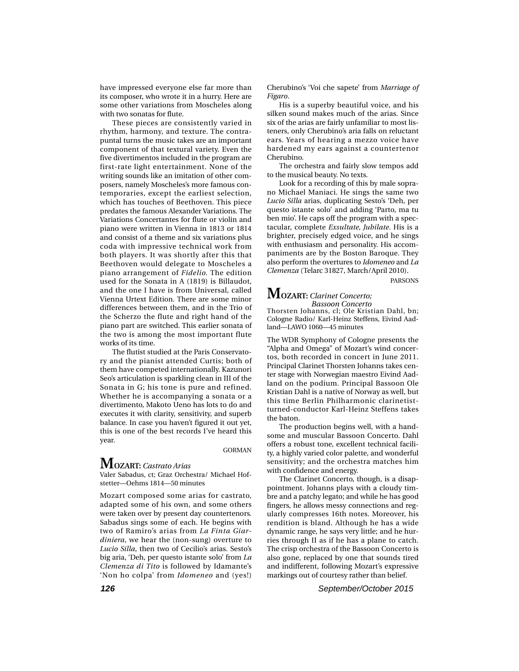have impressed everyone else far more than its composer, who wrote it in a hurry. Here are some other variations from Moscheles along with two sonatas for flute.

These pieces are consistently varied in rhythm, harmony, and texture. The contrapuntal turns the music takes are an important component of that textural variety. Even the five divertimentos included in the program are first-rate light entertainment. None of the writing sounds like an imitation of other composers, namely Moscheles's more famous contemporaries, except the earliest selection, which has touches of Beethoven. This piece predates the famous Alexander Variations. The Variations Concertantes for flute or violin and piano were written in Vienna in 1813 or 1814 and consist of a theme and six variations plus coda with impressive technical work from both players. It was shortly after this that Beethoven would delegate to Moscheles a piano arrangement of *Fidelio.* The edition used for the Sonata in A (1819) is Billaudot, and the one I have is from Universal, called Vienna Urtext Edition. There are some minor differences between them, and in the Trio of the Scherzo the flute and right hand of the piano part are switched. This earlier sonata of the two is among the most important flute works of its time.

The flutist studied at the Paris Conservatory and the pianist attended Curtis; both of them have competed internationally. Kazunori Seo's articulation is sparkling clean in III of the Sonata in G; his tone is pure and refined. Whether he is accompanying a sonata or a divertimento, Makoto Ueno has lots to do and executes it with clarity, sensitivity, and superb balance. In case you haven't figured it out yet, this is one of the best records I've heard this year.

GORMAN

# **MOZART:** *Castrato Arias*

Valer Sabadus, ct; Graz Orchestra/ Michael Hofstetter—Oehms 1814—50 minutes

Mozart composed some arias for castrato, adapted some of his own, and some others were taken over by present day countertenors. Sabadus sings some of each. He begins with two of Ramiro's arias from *La Finta Giardiniera*, we hear the (non-sung) overture to *Lucio Silla*, then two of Cecilio's arias. Sesto's big aria, 'Deh, per questo istante solo' from *La Clemenza di Tito* is followed by Idamante's 'Non ho colpa' from *Idomeneo* and (yes!) Cherubino's 'Voi che sapete' from *Marriage of Figaro*.

His is a superby beautiful voice, and his silken sound makes much of the arias. Since six of the arias are fairly unfamiliar to most listeners, only Cherubino's aria falls on reluctant ears. Years of hearing a mezzo voice have hardened my ears against a countertenor Cherubino.

The orchestra and fairly slow tempos add to the musical beauty. No texts.

Look for a recording of this by male soprano Michael Maniaci. He sings the same two *Lucio Silla* arias, duplicating Sesto's 'Deh, per questo istante solo' and adding 'Parto, ma tu ben mio'. He caps off the program with a spectacular, complete *Exsultate, Jubilate*. His is a brighter, precisely edged voice, and he sings with enthusiasm and personality. His accompaniments are by the Boston Baroque. They also perform the overtures to *Idomeneo* and *La Clemenza* (Telarc 31827, March/April 2010).

PARSONS

### **MOZART:** *Clarinet Concerto; Bassoon Concerto*

Thorsten Johanns, cl; Ole Kristian Dahl, bn; Cologne Radio/ Karl-Heinz Steffens, Eivind Aadland—LAWO 1060—45 minutes

The WDR Symphony of Cologne presents the "Alpha and Omega" of Mozart's wind concertos, both recorded in concert in June 2011. Principal Clarinet Thorsten Johanns takes center stage with Norwegian maestro Eivind Aadland on the podium. Principal Bassoon Ole Kristian Dahl is a native of Norway as well, but this time Berlin Philharmonic clarinetistturned-conductor Karl-Heinz Steffens takes the baton.

The production begins well, with a handsome and muscular Bassoon Concerto. Dahl offers a robust tone, excellent technical facility, a highly varied color palette, and wonderful sensitivity; and the orchestra matches him with confidence and energy.

The Clarinet Concerto, though, is a disappointment. Johanns plays with a cloudy timbre and a patchy legato; and while he has good fingers, he allows messy connections and regularly compresses 16th notes. Moreover, his rendition is bland. Although he has a wide dynamic range, he says very little; and he hurries through II as if he has a plane to catch. The crisp orchestra of the Bassoon Concerto is also gone, replaced by one that sounds tired and indifferent, following Mozart's expressive markings out of courtesy rather than belief.

**126** September/October 2015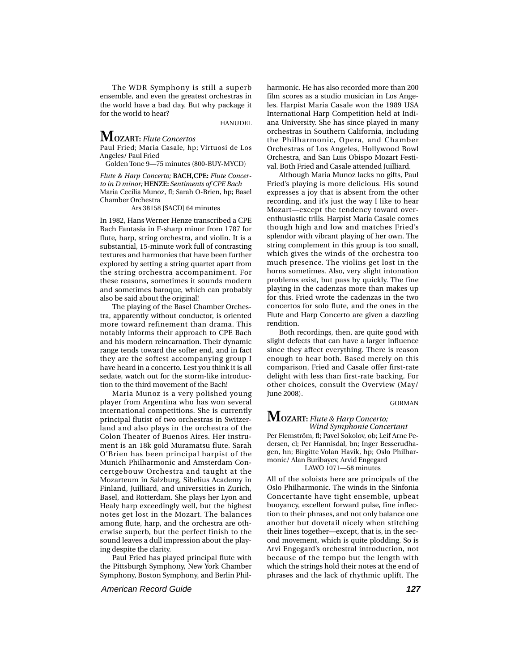The WDR Symphony is still a superb ensemble, and even the greatest orchestras in the world have a bad day. But why package it for the world to hear?

HANUDEL

# **MOZART:** *Flute Concertos*

Paul Fried; Maria Casale, hp; Virtuosi de Los Angeles/ Paul Fried

Golden Tone 9—75 minutes (800-BUY-MYCD)

*Flute & Harp Concerto;* **BACH,CPE:** *Flute Concerto in D minor;* **HENZE:** *Sentiments of CPE Bach* Maria Cecilia Munoz, fl; Sarah O-Brien, hp; Basel Chamber Orchestra

Ars 38158 [SACD] 64 minutes

In 1982, Hans Werner Henze transcribed a CPE Bach Fantasia in F-sharp minor from 1787 for flute, harp, string orchestra, and violin. It is a substantial, 15-minute work full of contrasting textures and harmonies that have been further explored by setting a string quartet apart from the string orchestra accompaniment. For these reasons, sometimes it sounds modern and sometimes baroque, which can probably also be said about the original!

The playing of the Basel Chamber Orchestra, apparently without conductor, is oriented more toward refinement than drama. This notably informs their approach to CPE Bach and his modern reincarnation. Their dynamic range tends toward the softer end, and in fact they are the softest accompanying group I have heard in a concerto. Lest you think it is all sedate, watch out for the storm-like introduction to the third movement of the Bach!

Maria Munoz is a very polished young player from Argentina who has won several international competitions. She is currently principal flutist of two orchestras in Switzerland and also plays in the orchestra of the Colon Theater of Buenos Aires. Her instrument is an 18k gold Muramatsu flute. Sarah O'Brien has been principal harpist of the Munich Philharmonic and Amsterdam Concertgebouw Orchestra and taught at the Mozarteum in Salzburg, Sibelius Academy in Finland, Juilliard, and universities in Zurich, Basel, and Rotterdam. She plays her Lyon and Healy harp exceedingly well, but the highest notes get lost in the Mozart. The balances among flute, harp, and the orchestra are otherwise superb, but the perfect finish to the sound leaves a dull impression about the playing despite the clarity.

Paul Fried has played principal flute with the Pittsburgh Symphony, New York Chamber Symphony, Boston Symphony, and Berlin Philharmonic. He has also recorded more than 200 film scores as a studio musician in Los Angeles. Harpist Maria Casale won the 1989 USA International Harp Competition held at Indiana University. She has since played in many orchestras in Southern California, including the Philharmonic, Opera, and Chamber Orchestras of Los Angeles, Hollywood Bowl Orchestra, and San Luis Obispo Mozart Festival. Both Fried and Casale attended Juilliard.

Although Maria Munoz lacks no gifts, Paul Fried's playing is more delicious. His sound expresses a joy that is absent from the other recording, and it's just the way I like to hear Mozart—except the tendency toward overenthusiastic trills. Harpist Maria Casale comes though high and low and matches Fried's splendor with vibrant playing of her own. The string complement in this group is too small, which gives the winds of the orchestra too much presence. The violins get lost in the horns sometimes. Also, very slight intonation problems exist, but pass by quickly. The fine playing in the cadenzas more than makes up for this. Fried wrote the cadenzas in the two concertos for solo flute, and the ones in the Flute and Harp Concerto are given a dazzling rendition.

Both recordings, then, are quite good with slight defects that can have a larger influence since they affect everything. There is reason enough to hear both. Based merely on this comparison, Fried and Casale offer first-rate delight with less than first-rate backing. For other choices, consult the Overview (May/ June 2008).

#### GORMAN

### **MOZART:** *Flute & Harp Concerto; Wind Symphonie Concertant*

Per Flemström, fl; Pavel Sokolov, ob; Leif Arne Pedersen, cl; Per Hannisdal, bn; Inger Besserudhagen, hn; Birgitte Volan Havik, hp; Oslo Philharmonic/ Alan Buribayev, Arvid Engegard

LAWO 1071—58 minutes

All of the soloists here are principals of the Oslo Philharmonic. The winds in the Sinfonia Concertante have tight ensemble, upbeat buoyancy, excellent forward pulse, fine inflection to their phrases, and not only balance one another but dovetail nicely when stitching their lines together—except, that is, in the second movement, which is quite plodding. So is Arvi Engegard's orchestral introduction, not because of the tempo but the length with which the strings hold their notes at the end of phrases and the lack of rhythmic uplift. The